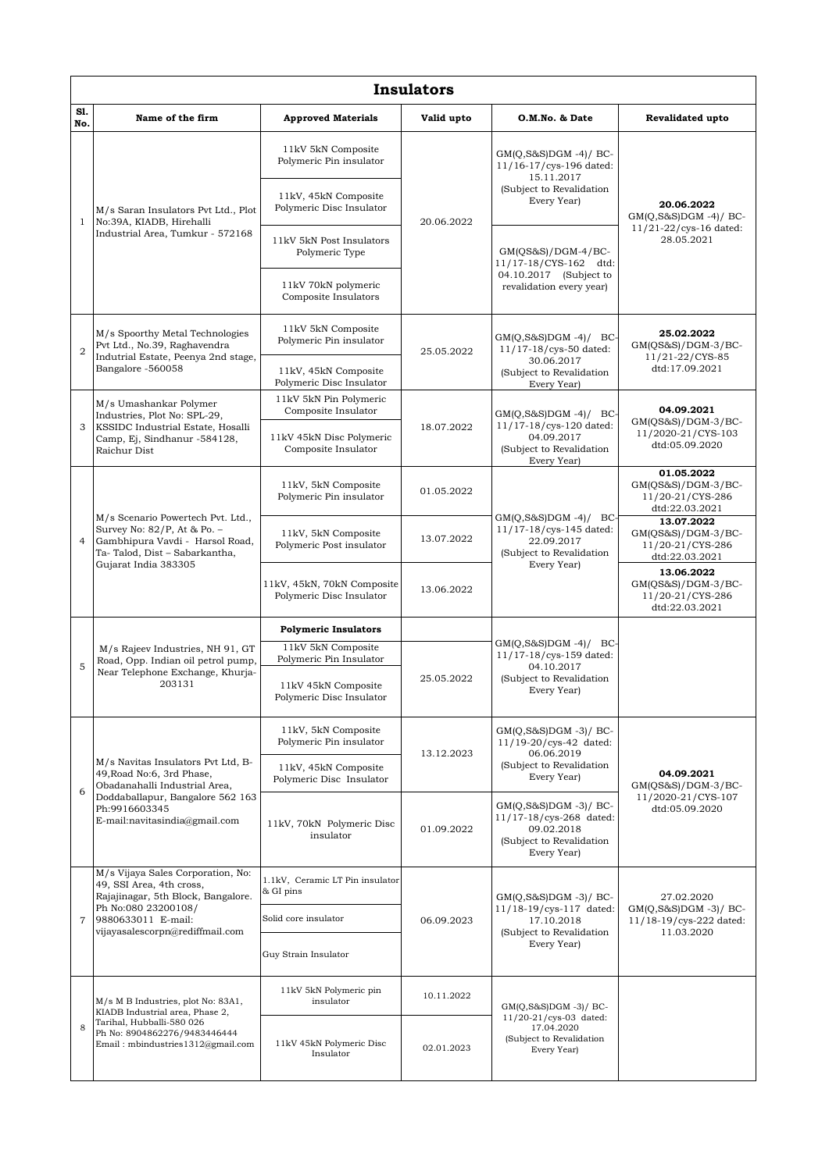|                | <b>Insulators</b>                                                                                                                                                                      |                                                        |                                         |                                                                                                             |                                                                                    |  |  |  |  |  |
|----------------|----------------------------------------------------------------------------------------------------------------------------------------------------------------------------------------|--------------------------------------------------------|-----------------------------------------|-------------------------------------------------------------------------------------------------------------|------------------------------------------------------------------------------------|--|--|--|--|--|
| S1.<br>No.     | Name of the firm                                                                                                                                                                       | <b>Approved Materials</b>                              | Valid upto                              | O.M.No. & Date                                                                                              | Revalidated upto                                                                   |  |  |  |  |  |
|                | M/s Saran Insulators Pvt Ltd., Plot<br>No:39A, KIADB, Hirehalli<br>Industrial Area, Tumkur - 572168                                                                                    | 11kV 5kN Composite<br>Polymeric Pin insulator          | 20.06.2022                              | $GM(Q, S&S)DGM -4)/BC$<br>11/16-17/cys-196 dated:<br>15.11.2017<br>(Subject to Revalidation<br>Every Year)  | 20.06.2022<br>$GM(Q, S&S)DGM -4)/BC$<br>$11/21 - 22/cys - 16$ dated:<br>28.05.2021 |  |  |  |  |  |
| $\mathbf{1}$   |                                                                                                                                                                                        | 11kV, 45kN Composite<br>Polymeric Disc Insulator       |                                         |                                                                                                             |                                                                                    |  |  |  |  |  |
|                |                                                                                                                                                                                        | 11kV 5kN Post Insulators<br>Polymeric Type             |                                         | $GM(QS&S)/DGM-4/BC-$<br>11/17-18/CYS-162 dtd:<br>04.10.2017 (Subject to<br>revalidation every year)         |                                                                                    |  |  |  |  |  |
|                |                                                                                                                                                                                        | 11kV 70kN polymeric<br>Composite Insulators            |                                         |                                                                                                             |                                                                                    |  |  |  |  |  |
| $\overline{2}$ | M/s Spoorthy Metal Technologies<br>Pvt Ltd., No.39, Raghavendra<br>Indutrial Estate, Peenya 2nd stage,<br>Bangalore -560058                                                            | 11kV 5kN Composite<br>Polymeric Pin insulator          | 25.05.2022                              | $GM(Q,S\&S)DGM -4)/$ BC-<br>11/17-18/cys-50 dated:<br>30.06.2017<br>(Subject to Revalidation<br>Every Year) | 25.02.2022<br>$GM(QS&S)/DGM-3/BC-$<br>11/21-22/CYS-85<br>dtd:17.09.2021            |  |  |  |  |  |
|                |                                                                                                                                                                                        | 11kV, 45kN Composite<br>Polymeric Disc Insulator       |                                         |                                                                                                             |                                                                                    |  |  |  |  |  |
|                | M/s Umashankar Polymer<br>Industries, Plot No: SPL-29,<br>KSSIDC Industrial Estate, Hosalli<br>Camp, Ej, Sindhanur -584128,<br>Raichur Dist                                            | 11kV 5kN Pin Polymeric<br>Composite Insulator          | 18.07.2022                              | $GM(Q, S\&S)DGM -4)/BC$<br>11/17-18/cys-120 dated:<br>04.09.2017<br>(Subject to Revalidation<br>Every Year) | 04.09.2021<br>GM(OS&S)/DGM-3/BC-<br>11/2020-21/CYS-103<br>dtd:05.09.2020           |  |  |  |  |  |
| 3              |                                                                                                                                                                                        | 11kV 45kN Disc Polymeric<br>Composite Insulator        |                                         |                                                                                                             |                                                                                    |  |  |  |  |  |
|                | M/s Scenario Powertech Pvt. Ltd.,<br>Survey No: 82/P, At & Po. -<br>Gambhipura Vavdi - Harsol Road,<br>Ta-Talod, Dist - Sabarkantha,<br>Gujarat India 383305                           | 11kV, 5kN Composite<br>Polymeric Pin insulator         | 01.05.2022                              | $GM(Q, S\&S)DGM -4)/BC$<br>11/17-18/cys-145 dated:<br>22.09.2017<br>(Subject to Revalidation                | 01.05.2022<br>$GM(QS&S)/DGM-3/BC-$<br>11/20-21/CYS-286<br>dtd:22.03.2021           |  |  |  |  |  |
| $\overline{4}$ |                                                                                                                                                                                        | 11kV, 5kN Composite<br>Polymeric Post insulator        | 13.07.2022<br>Every Year)<br>13.06.2022 |                                                                                                             | 13.07.2022<br>$GM(QS&S)/DGM-3/BC-$<br>11/20-21/CYS-286<br>dtd:22.03.2021           |  |  |  |  |  |
|                |                                                                                                                                                                                        | 11kV, 45kN, 70kN Composite<br>Polymeric Disc Insulator |                                         | 13.06.2022<br>$GM(QS&S)/DGM-3/BC-$<br>11/20-21/CYS-286<br>dtd:22.03.2021                                    |                                                                                    |  |  |  |  |  |
|                | M/s Rajeev Industries, NH 91, GT<br>Road, Opp. Indian oil petrol pump,<br>Near Telephone Exchange, Khurja-<br>203131                                                                   | <b>Polymeric Insulators</b>                            | 04.10.2017<br>25.05.2022<br>Every Year) |                                                                                                             |                                                                                    |  |  |  |  |  |
| 5              |                                                                                                                                                                                        | 11kV 5kN Composite<br>Polymeric Pin Insulator          |                                         | $GM(Q, S\&S)DGM -4)/BC$<br>11/17-18/cys-159 dated:<br>(Subject to Revalidation                              |                                                                                    |  |  |  |  |  |
|                |                                                                                                                                                                                        | 11kV 45kN Composite<br>Polymeric Disc Insulator        |                                         |                                                                                                             |                                                                                    |  |  |  |  |  |
|                | M/s Navitas Insulators Pvt Ltd, B-<br>49, Road No:6, 3rd Phase,<br>Obadanahalli Industrial Area,<br>Doddaballapur, Bangalore 562 163<br>Ph:9916603345<br>E-mail:navitasindia@gmail.com | 11kV, 5kN Composite<br>Polymeric Pin insulator         | 13.12.2023                              | $GM(Q,S\&S)DGM -3)/BC$<br>11/19-20/cys-42 dated:<br>06.06.2019<br>(Subject to Revalidation<br>Every Year)   | 04.09.2021<br>$GM(QS&S)/DGM-3/BC-$<br>11/2020-21/CYS-107<br>dtd:05.09.2020         |  |  |  |  |  |
| 6              |                                                                                                                                                                                        | 11kV, 45kN Composite<br>Polymeric Disc Insulator       |                                         |                                                                                                             |                                                                                    |  |  |  |  |  |
|                |                                                                                                                                                                                        | 11kV, 70kN Polymeric Disc<br>insulator                 | 01.09.2022                              | GM(Q,S&S)DGM-3)/BC-<br>11/17-18/cys-268 dated:<br>09.02.2018<br>(Subject to Revalidation<br>Every Year)     |                                                                                    |  |  |  |  |  |
|                | M/s Vijaya Sales Corporation, No:<br>49, SSI Area, 4th cross,<br>Rajajinagar, 5th Block, Bangalore.<br>Ph No:080 23200108/<br>9880633011 E-mail:<br>vijayasalescorpn@rediffmail.com    | 1.1kV, Ceramic LT Pin insulator<br>& GI pins           | 06.09.2023                              | $GM(Q, S\&S)DGM -3)/BC$<br>11/18-19/cys-117 dated:<br>17.10.2018<br>(Subject to Revalidation<br>Every Year) | 27.02.2020<br>$GM(Q,S\&S)DGM -3)/BC$<br>11/18-19/cys-222 dated:<br>11.03.2020      |  |  |  |  |  |
| $\overline{7}$ |                                                                                                                                                                                        | Solid core insulator                                   |                                         |                                                                                                             |                                                                                    |  |  |  |  |  |
|                |                                                                                                                                                                                        | Guy Strain Insulator                                   |                                         |                                                                                                             |                                                                                    |  |  |  |  |  |
| 8              | M/s M B Industries, plot No: 83A1,<br>KIADB Industrial area, Phase 2,<br>Tarihal, Hubballi-580 026<br>Ph No: 8904862276/9483446444<br>Email: mbindustries1312@gmail.com                | 11kV 5kN Polymeric pin<br>insulator                    | 10.11.2022                              | $GM(Q,S&S)DGM -3)/BC-$<br>11/20-21/cys-03 dated:<br>17.04.2020<br>(Subject to Revalidation<br>Every Year)   |                                                                                    |  |  |  |  |  |
|                |                                                                                                                                                                                        | 11kV 45kN Polymeric Disc<br>Insulator                  | 02.01.2023                              |                                                                                                             |                                                                                    |  |  |  |  |  |